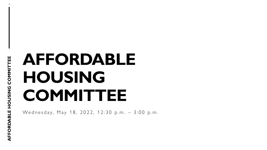# **AFFORDABLE HOUSING COMMITTEE**

Wednesday, May 18, 2022, 12:30 p.m. – 3:00 p.m.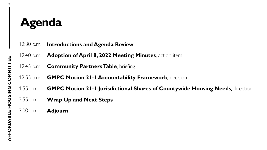## **Agenda**

| 12:30 p.m. Introductions and Agenda Review                                              |  |
|-----------------------------------------------------------------------------------------|--|
| 12:40 p.m. Adoption of April 8, 2022 Meeting Minutes, action item                       |  |
| 12:45 p.m. <b>Community Partners Table</b> , briefing                                   |  |
| 12:55 p.m. <b>GMPC Motion 21-1 Accountability Framework</b> , decision                  |  |
| 1:55 p.m. GMPC Motion 21-1 Jurisdictional Shares of Countywide Housing Needs, direction |  |
| 2:55 p.m. <b>Wrap Up and Next Steps</b>                                                 |  |
| $3.00$ p.m. <b>Adjourn</b>                                                              |  |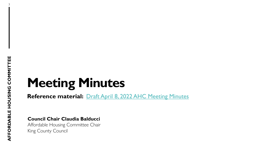3

# **Meeting Minutes**

**Reference material:** [Draft April 8, 2022 AHC Meeting Minutes](https://kingcounty.gov/%7E/media/depts/community-human-services/housing-homelessness-community-development/documents/affordable-housing-committee/Meeting_05,-d-,18,-d-,22/Draft_AHC_Meeting_Minutes_2022,-d-,04,-d-,08.ashx?la=en)

**Council Chair Claudia Balducci**

Affordable Housing Committee Chair King County Council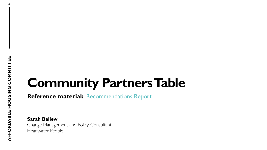4

## **Community Partners Table**

**Reference material:** [Recommendations Report](https://kingcounty.gov/%7E/media/depts/community-human-services/housing-homelessness-community-development/documents/affordable-housing-committee/Meeting_05,-d-,18,-d-,22/CommunityPartnersTable_FinalRecommendationsReport_May2022.ashx?la=en)

**Sarah Ballew** Change Management and Policy Consultant Headwater People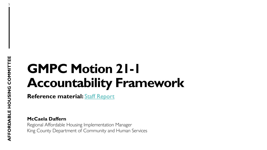5

## **GMPC Motion 21-1 Accountability Framework**

**Reference material:** [Staff Report](https://kingcounty.gov/%7E/media/depts/community-human-services/housing-homelessness-community-development/documents/affordable-housing-committee/Meeting_05,-d-,18,-d-,22/AHCGMPCMotion211RevisedAccountabilityFrameworkStaffReport20220513.ashx?la=en)

**McCaela Daffern**

Regional Affordable Housing Implementation Manager King County Department of Community and Human Services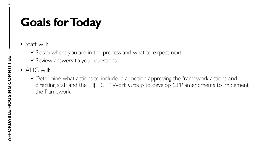## **Goals for Today**

• Staff will:

 $\checkmark$  Recap where you are in the process and what to expect next

 $\checkmark$  Review answers to your questions

- AHC will:
	- Determine what actions to include in a motion approving the framework actions and directing staff and the HIJT CPP Work Group to develop CPP amendments to implement the framework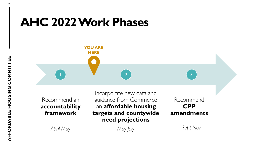### **AHC 2022 Work Phases**



Recommend an **accountability framework**

Incorporate new data and guidance from Commerce on **affordable housing targets and countywide need projections**

Recommend **CPP amendments** 

*April-May May-July Sept-Nov*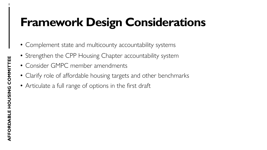## **Framework Design Considerations**

- Complement state and multicounty accountability systems
- Strengthen the CPP Housing Chapter accountability system
- Consider GMPC member amendments
- Clarify role of affordable housing targets and other benchmarks
- Articulate a full range of options in the first draft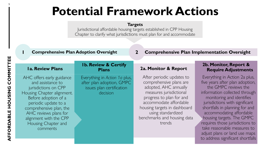### **Potential Framework Actions**

#### **Targets**

Jurisdictional affordable housing targets established in CPP Housing Chapter to clarify what jurisdictions must plan for and accommodate

#### **1 Comprehensive Plan Adoption Oversight**

**2 Comprehensive Plan Implementation Oversight**

#### **1a. Review Plans**

AHC offers early guidance and assistance to jurisdictions on CPP Housing Chapter alignment. Before adoption of a periodic update to a comprehensive plan, the AHC reviews plans for alignment with the CPP Housing Chapter and comments

#### **1b. Review & Certify Plans**

Everything in *Action 1a* plus, after plan adoption, GMPC issues plan certification decision

#### **2a. Monitor & Report**

After periodic updates to comprehensive plans are adopted, AHC annually measures jurisdictional progress to plan for and accommodate affordable housing targets in dashboard using standardized benchmarks and housing data trends

#### **2b. Monitor, Report & Require Adjustments**

Everything in Action 2a plus, five years after plan adoption, the GMPC reviews the information collected through monitoring and identifies jurisdictions with significant shortfalls in planning for and accommodating affordable housing targets. The GMPC requires those jurisdictions to take reasonable measures to adjust plans or land use maps to address significant shortfalls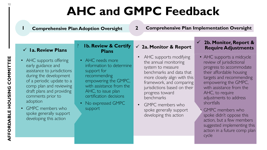## **AHC and GMPC Feedback**

**1 Comprehensive Plan Adoption Oversight 2 Comprehensive Plan Implementation Oversight**

#### **1a. Review Plans**

- AHC supports offering early guidance and assistance to jurisdictions during the development of a periodic update to a comp plan and reviewing draft plans and providing comments prior to adoption
- GMPC members who spoke generally support developing this action

#### **2a. Monitor & Report** ? **1b. Review & Certify Plans**

- AHC needs more information to determine support for recommending empowering the GMPC, with assistance from the AHC, to issue plan certification decisions
- No expressed GMPC support
- AHC supports modifying the annual monitoring system to measure benchmarks and data that more closely align with this framework, and comparing jurisdictions based on their progress toward benchmarks
- GMPC members who spoke generally support developing this action

#### **2b. Monitor, Report & Require Adjustments**

- AHC supports a midcycle review of jurisdictional progress to accommodate their affordable housing targets and recommending empowering the GMPC, with assistance from the AHC, to require adjustments to address shortfalls
- GMPC members who spoke didn't oppose this action, but a few members suggested implementing this action in a future comp plan cycle

10

**AFFORDABLE HOUSING COMMITTEE**

AFFORDABLE HOUSING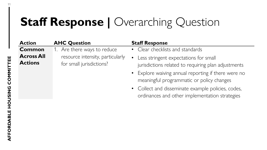### **Staff Response | Overarching Question**

| <b>Action</b>                       | <b>AHC Question</b>                                          | <b>Staff Response</b>                                                                                                                                         |
|-------------------------------------|--------------------------------------------------------------|---------------------------------------------------------------------------------------------------------------------------------------------------------------|
| <b>Common</b>                       | 1. Are there ways to reduce                                  | • Clear checklists and standards                                                                                                                              |
| <b>Across All</b><br><b>Actions</b> | resource intensity, particularly<br>for small jurisdictions? | • Less stringent expectations for small<br>jurisdictions related to requiring plan adjustments<br>$\bullet$ Explore waiving annual reporting if there were no |

• Explore waiving annual reporting if there were no meaningful programmatic or policy changes

Collect and disseminate example policies, codes, ordinances and other implementation strategies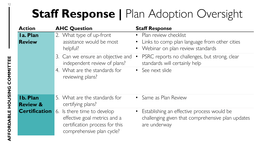## **Staff Response | Plan Adoption Oversight**

| <b>Action</b>                          | <b>AHC Question</b>                                                                                                        | <b>Staff Response</b>                                                                                           |
|----------------------------------------|----------------------------------------------------------------------------------------------------------------------------|-----------------------------------------------------------------------------------------------------------------|
| Ia. Plan<br><b>Review</b>              | 2. What type of up-front<br>assistance would be most<br>helpful?                                                           | Plan review checklist<br>• Links to comp plan language from other cities<br>Webinar on plan review standards    |
|                                        | 3. Can we ensure an objective and<br>independent review of plans?                                                          | PSRC reports no challenges, but strong, clear<br>standards will certainly help                                  |
|                                        | 4. What are the standards for<br>reviewing plans?                                                                          | • See next slide                                                                                                |
| <b>Ib. Plan</b><br><b>Review &amp;</b> | 5. What are the standards for<br>certifying plans?                                                                         | • Same as Plan Review                                                                                           |
| <b>Certification</b>                   | 6. Is there time to develop<br>effective goal metrics and a<br>certification process for this<br>comprehensive plan cycle? | Establishing an effective process would be<br>challenging given that comprehensive plan updates<br>are underway |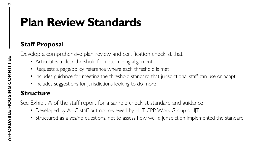### **Plan Review Standards**

### **Staff Proposal**

Develop a comprehensive plan review and certification checklist that:

- Articulates a clear threshold for determining alignment
- Requests a page/policy reference where each threshold is met
- Includes guidance for meeting the threshold standard that jurisdictional staff can use or adapt
- Includes suggestions for jurisdictions looking to do more

### **Structure**

See Exhibit A of the staff report for a sample checklist standard and guidance

- Developed by AHC staff but not reviewed by HIJT CPP Work Group or IJT
- Structured as a yes/no questions, not to assess how well a jurisdiction implemented the standard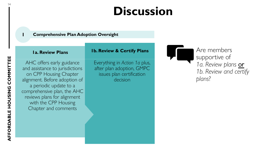### **Discussion**

#### **1 Comprehensive Plan Adoption Oversight**

#### **1a. Review Plans**

AHC offers early guidance and assistance to jurisdictions on CPP Housing Chapter alignment. Before adoption of a periodic update to a comprehensive plan, the AHC reviews plans for alignment with the CPP Housing Chapter and comments

Everything in *Action 1a* plus, after plan adoption, GMPC issues plan certification decision

**1b. Review & Certify Plans**

Are members supportive of *1a. Review plans* or *1b. Review and certify plans*?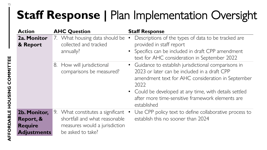## **Staff Response | Plan Implementation Oversight**

| <b>Action</b>                                                     | <b>AHC Question</b>                                                                                                      | <b>Staff Response</b>                                                                                                                                                                                                                                                                           |
|-------------------------------------------------------------------|--------------------------------------------------------------------------------------------------------------------------|-------------------------------------------------------------------------------------------------------------------------------------------------------------------------------------------------------------------------------------------------------------------------------------------------|
| 2a. Monitor<br>& Report                                           | 7. What housing data should be •<br>collected and tracked<br>annually?                                                   | Descriptions of the types of data to be tracked are<br>provided in staff report<br>• Specifics can be included in draft CPP amendment<br>text for AHC consideration in September 2022                                                                                                           |
|                                                                   | How will jurisdictional<br>8.<br>comparisons be measured?                                                                | • Guidance to establish jurisdictional comparisons in<br>2023 or later can be included in a draft CPP<br>amendment text for AHC consideration in September<br>2022<br>• Could be developed at any time, with details settled<br>after more time-sensitive framework elements are<br>established |
| 2b. Monitor,<br>Report, &<br><b>Require</b><br><b>Adjustments</b> | 9. What constitutes a significant<br>shortfall and what reasonable<br>measures would a jurisdiction<br>be asked to take? | Use CPP policy text to define collaborative process to<br>establish this no sooner than 2024                                                                                                                                                                                                    |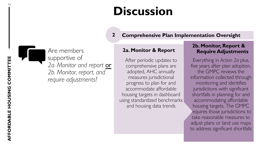### **Discussion**

#### **2 Comprehensive Plan Implementation Oversight**

#### **2a. Monitor & Report**

After periodic updates to comprehensive plans are adopted, AHC annually measures jurisdictional progress to plan for and accommodate affordable housing targets in dashboard using standardized benchmarks and housing data trends

#### **2b. Monitor, Report & Require Adjustments**

Everything in *Action 2a* plus, five years after plan adoption, the GMPC reviews the information collected through monitoring and identifies jurisdictions with significant shortfalls in planning for and accommodating affordable housing targets. The GMPC requires those jurisdictions to take reasonable measures to adjust plans or land use maps to address significant shortfalls



Are members supportive of *2a. Monitor and report* or *2b. Monitor, report, and require adjustments*?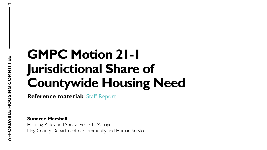## **GMPC Motion 21-1 Jurisdictional Share of Countywide Housing Need**

**Reference material:** [Staff Report](https://kingcounty.gov/%7E/media/depts/community-human-services/housing-homelessness-community-development/documents/affordable-housing-committee/Meeting_05,-d-,18,-d-,22/AHCGMPCMotion211JurisdictionalAffordableHousingTargetsStaffReport20220513.ashx?la=en)

**Sunaree Marshall** Housing Policy and Special Projects Manager King County Department of Community and Human Services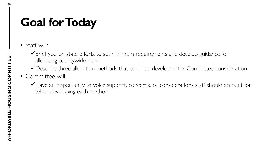## **Goal for Today**

• Staff will:

◆ Brief you on state efforts to set minimum requirements and develop guidance for allocating countywide need

- ◆ Describe three allocation methods that could be developed for Committee consideration
- Committee will:
	- Have an opportunity to voice support, concerns, or considerations staff should account for when developing each method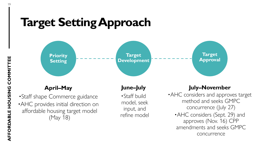### **Target Setting Approach**



#### **April–May**

•Staff shape Commerce guidance •AHC provides initial direction on affordable housing target model (May 18)

#### **June–July**

•Staff build model, seek input, and refine model

#### **July–November**

•AHC considers and approves target method and seeks GMPC concurrence (July 27) •AHC considers (Sept. 29) and approves (Nov. 16) CPP amendments and seeks GMPC concurrence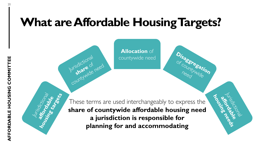### **What are Affordable Housing Targets?**

**Allocation** of countywide need

These terms are used interchangeably to express the **share of countywide affordable housing need a jurisdiction is responsible for planning for and accommodating** 

**CONTROL**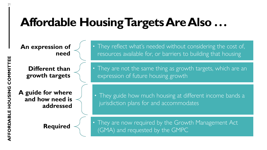## **Affordable Housing Targets Are Also . . .**

**An expression of need**

> **Different than growth targets**

**A guide for where and how need is addressed**

**Required**

• They reflect what's needed without considering the cost of, resources available for, or barriers to building that housing

• They are not the same thing as growth targets, which are an expression of future housing growth

• They guide how much housing at different income bands a jurisdiction plans for and accommodates

• They are now required by the Growth Management Act (GMA) and requested by the GMPC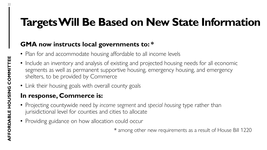### **Targets Will Be Based on New State Information**

### **GMA now instructs local governments to: \***

- Plan for and accommodate housing affordable to all income levels
- Include an inventory and analysis of existing and projected housing needs for all economic segments as well as permanent supportive housing, emergency housing, and emergency shelters, to be provided by Commerce
- Link their housing goals with overall county goals

### **In response, Commerce is:**

- Projecting countywide need *by income segment* and *special housing* type rather than jurisidictional level for counties and cities to allocate
- Providing guidance on how allocation could occur

\* among other new requirements as a result of House Bill 1220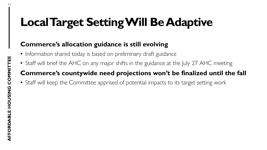## **Local Target Setting Will Be Adaptive**

### **Commerce's allocation guidance is still evolving**

- Information shared today is based on preliminary draft guidance
- Staff will brief the AHC on any major shifts in the guidance at the July 27 AHC meeting

### **Commerce's countywide need projections won't be finalized until the fall**

• Staff will keep the Committee apprised of potential impacts to its target setting work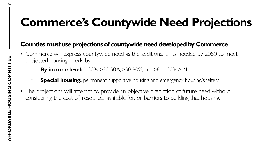## **Commerce's Countywide Need Projections**

### **Counties must use projections of countywide need developed by Commerce**

- Commerce will express countywide need as the additional units needed by 2050 to meet projected housing needs by:
	- o **By income level:** 0-30%, >30-50%, >50-80%, and >80-120% AMI
	- o **Special housing:** permanent supportive housing and emergency housing/shelters
- The projections will attempt to provide an objective prediction of future need without considering the cost of, resources available for, or barriers to building that housing.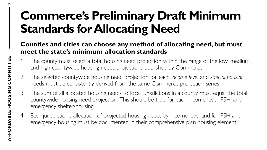## **Commerce's Preliminary Draft Minimum Standards for Allocating Need**

### **Counties and cities can choose any method of allocating need, but must meet the state's minimum allocation standards**

- 1. The county must select a total housing need projection within the range of the low, medium, and high countywide housing needs projections published by Commerce
- 2. The selected countywide housing need projection for each *income level* and *special housing*  needs must be consistently derived from the same Commerce projection series
- 3. The sum of all allocated housing needs to local jurisdictions in a county must equal the total countywide housing need projection. This should be true for each income level, PSH, and emergency shelter/housing.
- 4. Each jurisdiction's allocation of projected housing needs by income level and for PSH and emergency housing must be documented in their comprehensive plan housing element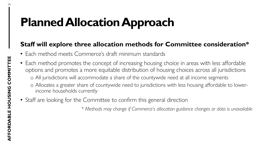## **Planned Allocation Approach**

#### **Staff will explore three allocation methods for Committee consideration\***

- Each method meets Commerce's draft minimum standards
- Each method promotes the concept of increasing housing choice in areas with less affordable options and promotes a more equitable distribution of housing choices across all jurisdictions o All jurisdictions will accommodate a share of the countywide need at all income segments o Allocates a greater share of countywide need to jurisdictions with less housing affordable to lowerincome households currently
- Staff are looking for the Committee to confirm this general direction

*\* Methods may change if Commerce's allocation guidance changes or data is unavailable*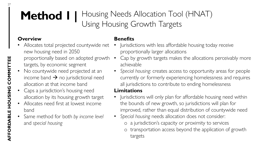### **Method 1 |** Housing Needs Allocation Tool (HNAT) Using Housing Growth Targets

#### **Overview**

- Allocates total projected countywide net new housing need in 2050 proportionally based on adopted growth • targets, by economic segment
- No countywide need projected at an income band  $\rightarrow$  no jurisdictional need allocation at that income band
- Caps a jurisdiction's housing need allocation by its housing growth target
- Allocates need first at lowest income band
- Same method for both *by income level*  and *special housing*

#### **Benefits**

- Jurisdictions with less affordable housing today receive proportionally larger allocations
- Cap by growth targets makes the allocations perceivably more achievable
- *Special housing*: creates access to opportunity areas for people currently or formerly experiencing homelessness and requires all jurisdictions to contribute to ending homelessness

#### **Limitations**

- Jurisdictions will only plan for affordable housing need within the bounds of new growth, so jurisdictions will plan for improved, rather than equal distribution of countywide need
- *Special housing* needs allocation does not consider:
	- o a jurisdiction's capacity or proximity to services
	- o transportation access beyond the application of growth targets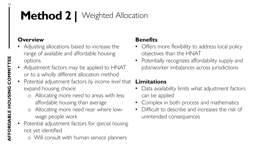### **Method 2** | Weighted Allocation

#### **Overview**

- Adjusting allocations based to increase the range of available and affordable housing options
- Adjustment factors may be applied to HNAT or to a wholly different allocation method
- Potential adjustment factors *by income level* that **Limitations** expand housing choice:
	- o Allocating more need to areas with less affordable housing than average
	- Allocating more need near where lowwage people work
- Potential adjustment factors for *special housing*  not yet identified
	- o Will consult with human service planners

#### **Benefits**

- Offers more flexibility to address local policy objectives than the HNAT
- Potentially recognizes affordability supply and jobs/worker imbalances across jurisdictions

- Data availability limits what adjustment factors can be applied
- Complex in both process and mathematics
- Difficult to describe and increases the risk of unintended consequences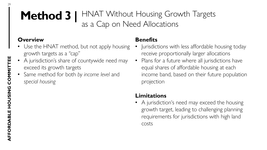### **Method 3 |** HNAT Without Housing Growth Targets as a Cap on Need Allocations

#### **Overview**

- Use the HNAT method, but not apply housing growth targets as a "cap"
- A jurisdiction's share of countywide need may exceed its growth targets
- Same method for both *by income level* and *special housing*

### **Benefits**

- Jurisdictions with less affordable housing today receive proportionally larger allocations
- Plans for a future where all jurisdictions have equal shares of affordable housing at each income band, based on their future population projection

### **Limitations**

• A jurisdiction's need may exceed the housing growth target, leading to challenging planning requirements for jurisdictions with high land costs